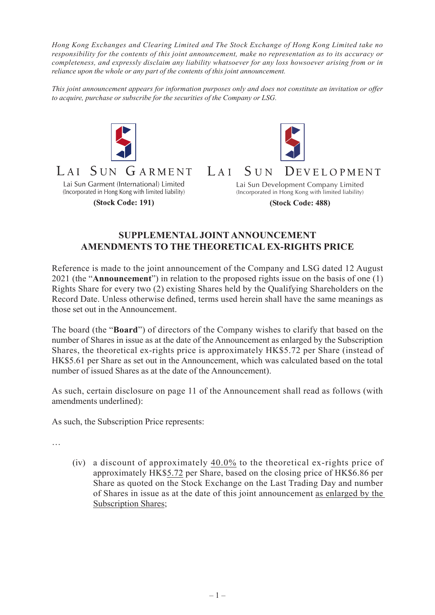*Hong Kong Exchanges and Clearing Limited and The Stock Exchange of Hong Kong Limited take no responsibility for the contents of this joint announcement, make no representation as to its accuracy or completeness, and expressly disclaim any liability whatsoever for any loss howsoever arising from or in reliance upon the whole or any part of the contents of this joint announcement.*

*This joint announcement appears for information purposes only and does not constitute an invitation or offer to acquire, purchase or subscribe for the securities of the Company or LSG.*



 $LAT$ 



## $LAT$  $SUN$ DEVELOPMENT

Lai Sun Garment (International) Limited (Incorporated in Hong Kong with limited liability)

(Stock Code: 191)

Lai Sun Development Company Limited (Incorporated in Hong Kong with limited liability)

**(Stock Code: 488)**

## **SUPPLEMENTAL JOINT ANNOUNCEMENT AMENDMENTS TO THE THEORETICAL EX-RIGHTS PRICE**

Reference is made to the joint announcement of the Company and LSG dated 12 August 2021 (the "**Announcement**") in relation to the proposed rights issue on the basis of one (1) Rights Share for every two (2) existing Shares held by the Qualifying Shareholders on the Record Date. Unless otherwise defined, terms used herein shall have the same meanings as those set out in the Announcement.

The board (the "**Board**") of directors of the Company wishes to clarify that based on the number of Shares in issue as at the date of the Announcement as enlarged by the Subscription Shares, the theoretical ex-rights price is approximately HK\$5.72 per Share (instead of HK\$5.61 per Share as set out in the Announcement, which was calculated based on the total number of issued Shares as at the date of the Announcement).

As such, certain disclosure on page 11 of the Announcement shall read as follows (with amendments underlined):

As such, the Subscription Price represents:

…

(iv) a discount of approximately 40.0% to the theoretical ex-rights price of approximately HK\$5.72 per Share, based on the closing price of HK\$6.86 per Share as quoted on the Stock Exchange on the Last Trading Day and number of Shares in issue as at the date of this joint announcement as enlarged by the Subscription Shares;